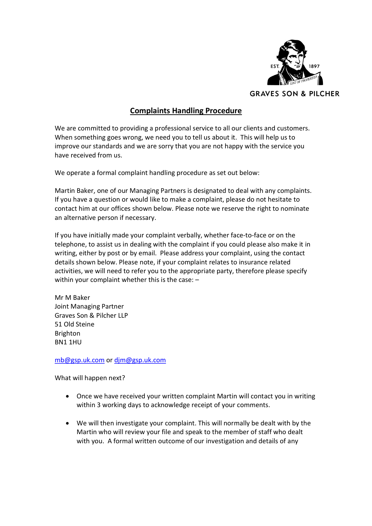

## Complaints Handling Procedure

We are committed to providing a professional service to all our clients and customers. When something goes wrong, we need you to tell us about it. This will help us to improve our standards and we are sorry that you are not happy with the service you have received from us.

We operate a formal complaint handling procedure as set out below:

Martin Baker, one of our Managing Partners is designated to deal with any complaints. If you have a question or would like to make a complaint, please do not hesitate to contact him at our offices shown below. Please note we reserve the right to nominate an alternative person if necessary.

If you have initially made your complaint verbally, whether face-to-face or on the telephone, to assist us in dealing with the complaint if you could please also make it in writing, either by post or by email. Please address your complaint, using the contact details shown below. Please note, if your complaint relates to insurance related activities, we will need to refer you to the appropriate party, therefore please specify within your complaint whether this is the case: –

Mr M Baker Joint Managing Partner Graves Son & Pilcher LLP 51 Old Steine Brighton BN1 1HU

mb@gsp.uk.com or djm@gsp.uk.com

What will happen next?

- Once we have received your written complaint Martin will contact you in writing within 3 working days to acknowledge receipt of your comments.
- We will then investigate your complaint. This will normally be dealt with by the Martin who will review your file and speak to the member of staff who dealt with you. A formal written outcome of our investigation and details of any